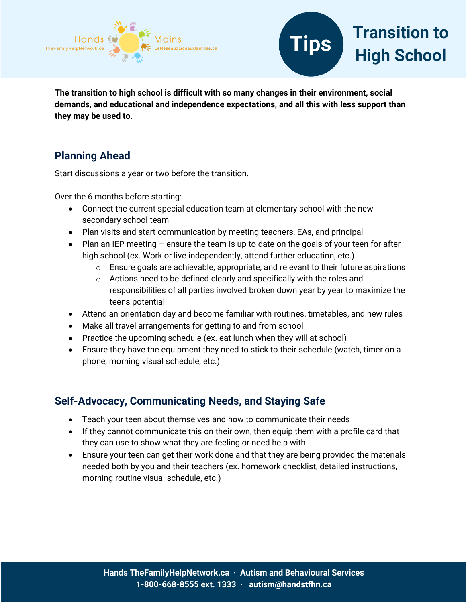



**The transition to high school is difficult with so many changes in their environment, social demands, and educational and independence expectations, and all this with less support than they may be used to.**

## **Planning Ahead**

Start discussions a year or two before the transition.

Over the 6 months before starting:

- Connect the current special education team at elementary school with the new secondary school team
- Plan visits and start communication by meeting teachers, EAs, and principal
- Plan an IEP meeting ensure the team is up to date on the goals of your teen for after high school (ex. Work or live independently, attend further education, etc.)
	- o Ensure goals are achievable, appropriate, and relevant to their future aspirations
	- o Actions need to be defined clearly and specifically with the roles and responsibilities of all parties involved broken down year by year to maximize the teens potential
- Attend an orientation day and become familiar with routines, timetables, and new rules
- Make all travel arrangements for getting to and from school
- Practice the upcoming schedule (ex. eat lunch when they will at school)
- Ensure they have the equipment they need to stick to their schedule (watch, timer on a phone, morning visual schedule, etc.)

## **Self-Advocacy, Communicating Needs, and Staying Safe**

- Teach your teen about themselves and how to communicate their needs
- If they cannot communicate this on their own, then equip them with a profile card that they can use to show what they are feeling or need help with
- Ensure your teen can get their work done and that they are being provided the materials needed both by you and their teachers (ex. homework checklist, detailed instructions, morning routine visual schedule, etc.)